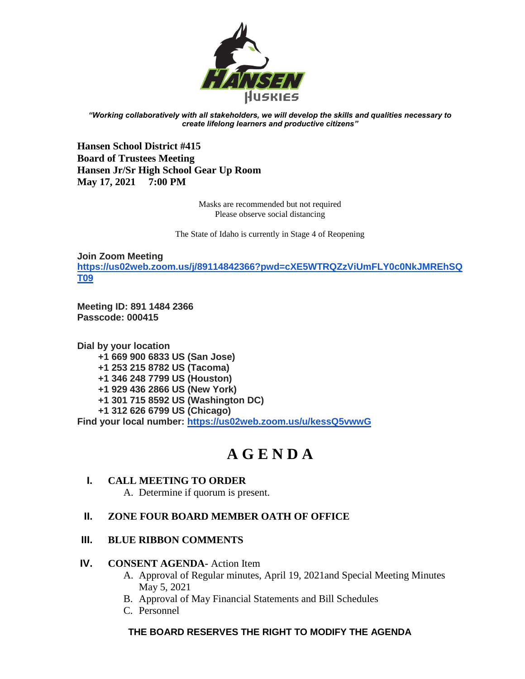

*"Working collaboratively with all stakeholders, we will develop the skills and qualities necessary to create lifelong learners and productive citizens"*

**Hansen School District #415 Board of Trustees Meeting Hansen Jr/Sr High School Gear Up Room May 17, 2021 7:00 PM**

> Masks are recommended but not required Please observe social distancing

The State of Idaho is currently in Stage 4 of Reopening

**Join Zoom Meeting [https://us02web.zoom.us/j/89114842366?pwd=cXE5WTRQZzViUmFLY0c0NkJMREhSQ](https://us02web.zoom.us/j/89114842366?pwd=cXE5WTRQZzViUmFLY0c0NkJMREhSQT09) [T09](https://us02web.zoom.us/j/89114842366?pwd=cXE5WTRQZzViUmFLY0c0NkJMREhSQT09)**

**Meeting ID: 891 1484 2366 Passcode: 000415**

**Dial by your location +1 669 900 6833 US (San Jose) +1 253 215 8782 US (Tacoma) +1 346 248 7799 US (Houston) +1 929 436 2866 US (New York) +1 301 715 8592 US (Washington DC) +1 312 626 6799 US (Chicago) Find your local number:<https://us02web.zoom.us/u/kessQ5vwwG>**

# **A G E N D A**

#### **I. CALL MEETING TO ORDER** A. Determine if quorum is present.

#### **II. ZONE FOUR BOARD MEMBER OATH OF OFFICE**

#### **III. BLUE RIBBON COMMENTS**

#### **IV. CONSENT AGENDA-** Action Item

- A. Approval of Regular minutes, April 19, 2021and Special Meeting Minutes May 5, 2021
- B. Approval of May Financial Statements and Bill Schedules
- C. Personnel

### **THE BOARD RESERVES THE RIGHT TO MODIFY THE AGENDA**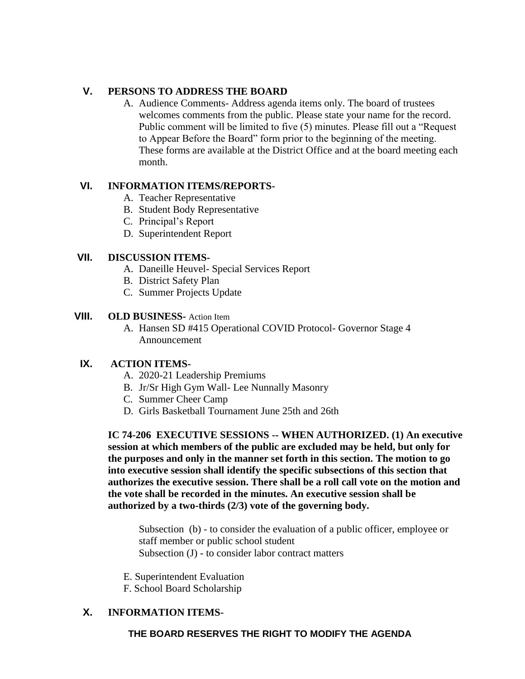#### **V. PERSONS TO ADDRESS THE BOARD**

A. Audience Comments- Address agenda items only. The board of trustees welcomes comments from the public. Please state your name for the record. Public comment will be limited to five (5) minutes. Please fill out a "Request to Appear Before the Board" form prior to the beginning of the meeting. These forms are available at the District Office and at the board meeting each month.

#### **VI. INFORMATION ITEMS/REPORTS-**

- A. Teacher Representative
- B. Student Body Representative
- C. Principal's Report
- D. Superintendent Report

#### **VII. DISCUSSION ITEMS-**

- A. Daneille Heuvel- Special Services Report
- B. District Safety Plan
- C. Summer Projects Update

#### **VIII. OLD BUSINESS-** Action Item

A. Hansen SD #415 Operational COVID Protocol- Governor Stage 4 Announcement

#### **IX. ACTION ITEMS-**

- A. 2020-21 Leadership Premiums
- B. Jr/Sr High Gym Wall- Lee Nunnally Masonry
- C. Summer Cheer Camp
- D. Girls Basketball Tournament June 25th and 26th

**IC 74-206 EXECUTIVE SESSIONS -- WHEN AUTHORIZED. (1) An executive session at which members of the public are excluded may be held, but only for the purposes and only in the manner set forth in this section. The motion to go into executive session shall identify the specific subsections of this section that authorizes the executive session. There shall be a roll call vote on the motion and the vote shall be recorded in the minutes. An executive session shall be authorized by a two-thirds (2/3) vote of the governing body.**

Subsection (b) - to consider the evaluation of a public officer, employee or staff member or public school student Subsection (J) - to consider labor contract matters

- E. Superintendent Evaluation
- F. School Board Scholarship

#### **X. INFORMATION ITEMS-**

#### **THE BOARD RESERVES THE RIGHT TO MODIFY THE AGENDA**